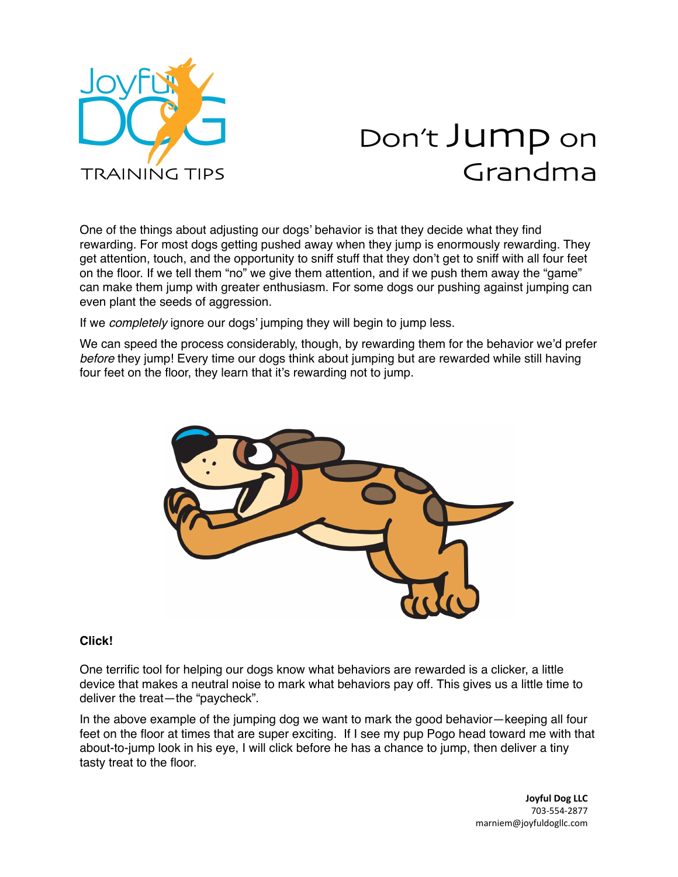

## Don't Jump on Grandma

One of the things about adjusting our dogs' behavior is that they decide what they find rewarding. For most dogs getting pushed away when they jump is enormously rewarding. They get attention, touch, and the opportunity to sniff stuff that they don't get to sniff with all four feet on the floor. If we tell them "no" we give them attention, and if we push them away the "game" can make them jump with greater enthusiasm. For some dogs our pushing against jumping can even plant the seeds of aggression.

If we *completely* ignore our dogs' jumping they will begin to jump less.

We can speed the process considerably, though, by rewarding them for the behavior we'd prefer *before* they jump! Every time our dogs think about jumping but are rewarded while still having four feet on the floor, they learn that it's rewarding not to jump.



## **Click!**

One terrific tool for helping our dogs know what behaviors are rewarded is a clicker, a little device that makes a neutral noise to mark what behaviors pay off. This gives us a little time to deliver the treat—the "paycheck".

In the above example of the jumping dog we want to mark the good behavior—keeping all four feet on the floor at times that are super exciting. If I see my pup Pogo head toward me with that about-to-jump look in his eye, I will click before he has a chance to jump, then deliver a tiny tasty treat to the floor.